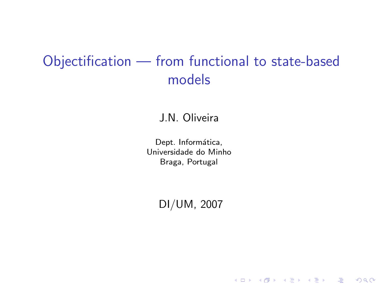# Objectification — from functional to state-based models

J.N. Oliveira

Dept. Informática, Universidade do Minho Braga, Portugal

DI/UM, 2007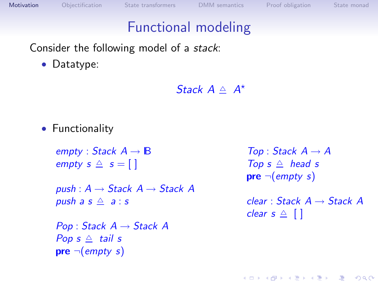# Functional modeling

Consider the following model of a stack:

• Datatype:

Stack  $A \triangleq A^*$ 

• Functionality

empty : Stack  $A \rightarrow \mathbb{B}$ empty  $s \triangleq s = [$ 

push :  $A \rightarrow$  Stack  $A \rightarrow$  Stack A push a  $s \triangleq a : s$ 

<span id="page-1-0"></span> $Pop: Stack A \rightarrow Stack A$ Pop  $s \triangleq$  tail s  $pre \neg (empty s)$ 

 $Top: Stack \; A \rightarrow A$ Top  $s \triangleq$  head s  $pre \neg (empty \ s)$ 

 $clear : Stack A \rightarrow Stack A$ clear  $s \triangleq \lceil \rceil$ 

**YO A REAGE YOU ARE A REAGE YOU**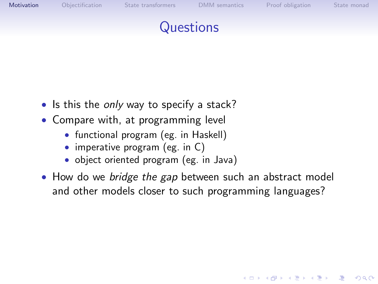

**YO A REAGE YOU ARE A REAGE YOU** 

# **Questions**

- Is this the only way to specify a stack?
- Compare with, at programming level
	- functional program (eg. in Haskell)
	- imperative program (eg. in C)
	- object oriented program (eg. in Java)
- How do we *bridge the gap* between such an abstract model and other models closer to such programming languages?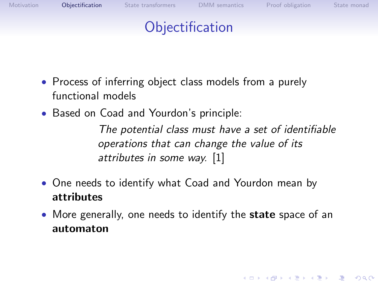

- Process of inferring object class models from a purely functional models
- Based on Coad and Yourdon's principle:

The potential class must have a set of identifiable operations that can change the value of its attributes in some way. [\[1\]](#page-23-0)

**YO A REAGE YOU ARE A REAGE YOU** 

- One needs to identify what Coad and Yourdon mean by attributes
- <span id="page-3-0"></span>• More generally, one needs to identify the **state** space of an automaton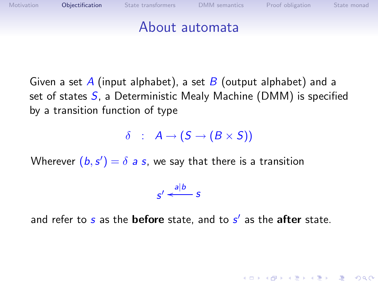

Given a set A (input alphabet), a set B (output alphabet) and a set of states  $S$ , a Deterministic Mealy Machine (DMM) is specified by a transition function of type

 $\delta$  :  $A \rightarrow (S \rightarrow (B \times S))$ 

Wherever  $(b, s') = \delta$  a s, we say that there is a transition

 $s' \xleftarrow{a|b} s$ 

and refer to  $s$  as the **before** state, and to  $s'$  as the **after** state.

**A D A 4 O A 3 A 3 A 3 A 4 B A 4 B A 3 A 4 B A 4 B A 5 A 4 B A 5 A 4 B A 6 A 4 A**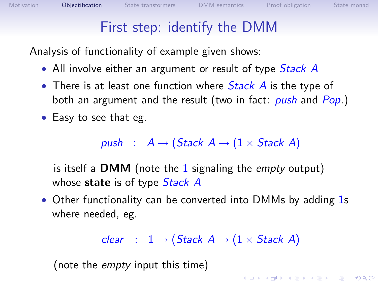# First step: identify the DMM

Analysis of functionality of example given shows:

- All involve either an argument or result of type *Stack A*
- There is at least one function where  $Stack$   $A$  is the type of both an argument and the result (two in fact: *push* and Pop.)
- Easy to see that eg.

push :  $A \rightarrow (Stack \ A \rightarrow (1 \times Stack \ A)$ 

is itself a **DMM** (note the 1 signaling the *empty* output) whose state is of type *Stack A* 

• Other functionality can be converted into DMMs by adding 1s where needed, eg.

clear :  $1 \rightarrow (Stack \ A \rightarrow (1 \times Stack \ A)$ 

(note the empty input this time)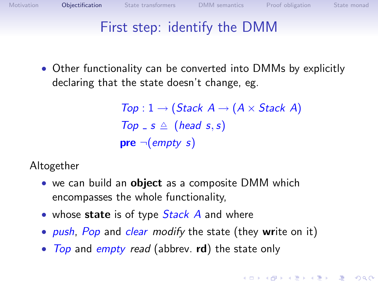# First step: identify the DMM

• Other functionality can be converted into DMMs by explicitly declaring that the state doesn't change, eg.

```
Top: 1 \rightarrow (Stack \ A \rightarrow (A \times Stack \ A)Top = s \triangle (head s, s)
pre \neg (empty \ s)
```
Altogether

- we can build an **object** as a composite DMM which encompasses the whole functionality,
- whose state is of type  $Stack$  A and where
- push, Pop and clear modify the state (they write on it)
- Top and empty read (abbrev.  $rd$ ) the state only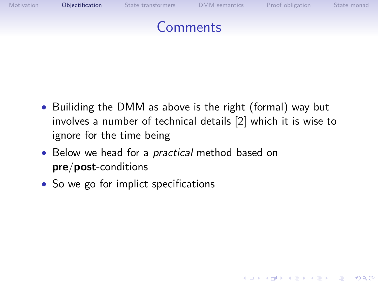

• Builiding the DMM as above is the right (formal) way but involves a number of technical details [\[2\]](#page-23-1) which it is wise to ignore for the time being

**YO A REAR OF YOUR** 

- Below we head for a *practical* method based on pre/post-conditions
- So we go for implict specifications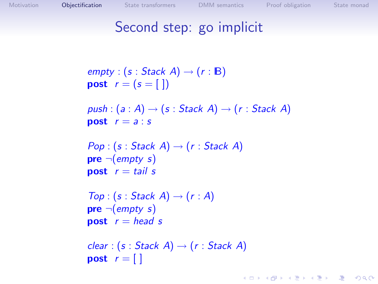#### Second step: go implicit

```
empty : (s : Stack A) \rightarrow (r : B)post r = (s = 1)push : (a : A) \rightarrow (s : Stack \ A) \rightarrow (r : Stack \ A)post r = a : sPop: (s: Stack \ A) \rightarrow (r: Stack \ A)pre \neg (empty \ s)post r = \text{tail } sTop: (s: Stack \ A) \rightarrow (r : A)pre \neg (empty \ s)post r = head sclear : (s : Stack A) \rightarrow (r : Stack A)post r = \lceil \rceil
```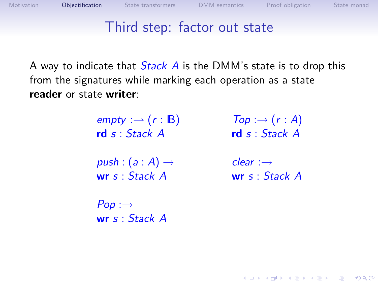**YO A REAR OF YOUR** 

#### Third step: factor out state

A way to indicate that  $Stack$  A is the DMM's state is to drop this from the signatures while marking each operation as a state reader or state writer:

> $empty := (r : B)$ rd s : Stack A  $push : (a : A) \rightarrow$ wr s : Stack A  $Pop: \rightarrow$ wr s : Stack A  $Top : \rightarrow (r : A)$ rd s : Stack A  $clear :→$ wr s : Stack A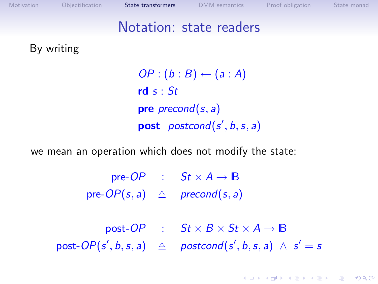[Motivation](#page-1-0) [Objectification](#page-3-0) [State transformers](#page-10-0) [DMM semantics](#page-16-0) [Proof obligation](#page-18-0) [State monad](#page-19-0) Notation: state readers By writing  $OP:(b:B) \leftarrow (a:A)$ rd  $s : St$ pre *precond* $(s, a)$ **post**  $postcond(s', b, s, a)$ we mean an operation which does not modify the state: pre-OP :  $St \times A \rightarrow B$ 

pre- $OP(s, a) \triangleq \text{precond}(s, a)$ 

<span id="page-10-0"></span>post-OP :  $St \times B \times St \times A \rightarrow \mathbb{B}$  $\mathsf{post}\text{-}\mathsf{OP}(\mathsf{s}',\mathsf{b},\mathsf{s},\mathsf{a}) \ \ \triangleq \ \ \ \mathsf{postcond}(\mathsf{s}',\mathsf{b},\mathsf{s},\mathsf{a}) \ \wedge \ \mathsf{s}' = \mathsf{s}$ 

**ADD 4 REPAIR AND A COA**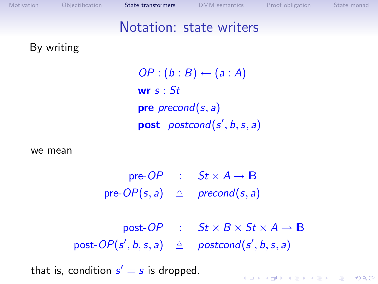| Motivation                                             | Objectification | State transformers |  | <b>DMM</b> semantics                                              | Proof obligation | State monad |  |  |  |  |
|--------------------------------------------------------|-----------------|--------------------|--|-------------------------------------------------------------------|------------------|-------------|--|--|--|--|
|                                                        |                 |                    |  | Notation: state writers                                           |                  |             |  |  |  |  |
|                                                        | By writing      |                    |  |                                                                   |                  |             |  |  |  |  |
| $OP:(b:B) \leftarrow (a:A)$                            |                 |                    |  |                                                                   |                  |             |  |  |  |  |
| wr $s:$ St                                             |                 |                    |  |                                                                   |                  |             |  |  |  |  |
| <b>pre</b> <i>precond</i> (s, a)                       |                 |                    |  |                                                                   |                  |             |  |  |  |  |
| <b>post</b> <i>postcond</i> ( $s'$ , $b$ , $s$ , $a$ ) |                 |                    |  |                                                                   |                  |             |  |  |  |  |
|                                                        |                 |                    |  |                                                                   |                  |             |  |  |  |  |
|                                                        | we mean         |                    |  |                                                                   |                  |             |  |  |  |  |
|                                                        |                 |                    |  | pre-OP : $St \times A \rightarrow \mathbb{B}$                     |                  |             |  |  |  |  |
|                                                        |                 |                    |  | pre- $OP(s, a) \triangleq \text{precond}(s, a)$                   |                  |             |  |  |  |  |
|                                                        |                 |                    |  |                                                                   |                  |             |  |  |  |  |
|                                                        |                 |                    |  | post-OP : $St \times B \times St \times A \rightarrow \mathbb{B}$ |                  |             |  |  |  |  |
|                                                        |                 |                    |  | post- $OP(s', b, s, a) \triangleq postcond(s', b, s, a)$          |                  |             |  |  |  |  |
|                                                        |                 |                    |  |                                                                   |                  |             |  |  |  |  |

that is, condition  $s' = s$  is dropped.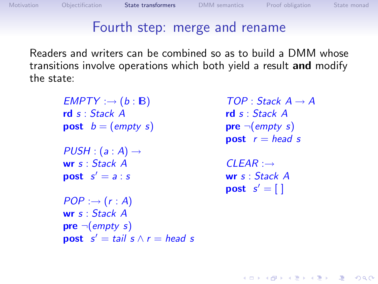# Fourth step: merge and rename

Readers and writers can be combined so as to build a DMM whose transitions involve operations which both yield a result and modify the state:

 $EMPTY : \rightarrow (b : \mathbb{B})$ rd s : Stack A **post**  $b = (empty s)$  $PUSH : (a : A) \rightarrow$ wr s : Stack A  $\mathsf{post} \ \ s' = a : s$  $POP : \rightarrow (r : A)$ wr s : Stack A  $pre \neg (empty \ s)$ **post**  $s' = \text{tail } s \wedge r = \text{head } s$ 

 $TOP: Stack A \rightarrow A$ rd s : Stack A  $pre \neg (empty \ s)$ **post**  $r = head s$ 

**YO A REAGE YOU ARE A REAGE YOU** 

 $CLEAR : \rightarrow$ wr s : Stack A  $\mathsf{post} \; s' = [ \; ]$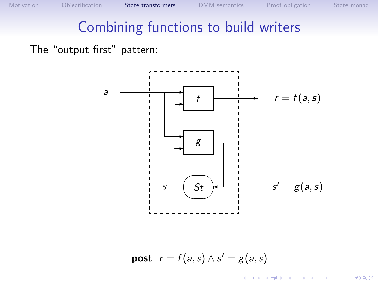$\exists$  (  $\exists$  ) (  $\exists$  ) (  $\exists$  ) (  $\exists$  )

 $2990$ 

#### Combining functions to build writers

The "output first" pattern:



**post**  $r = f(a, s) \wedge s' = g(a, s)$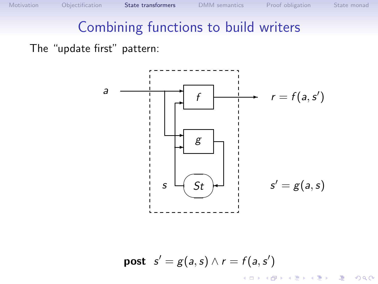K ロンス 御 > ス 할 > ス 할 > 「 할 …

 $299$ 

# Combining functions to build writers

The "update first" pattern:



**post**  $s' = g(a, s) \wedge r = f(a, s')$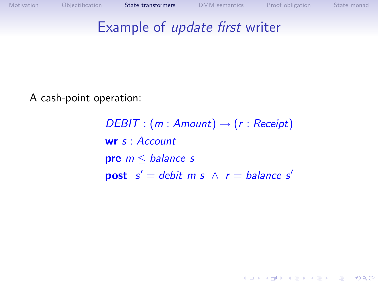### Example of update first writer

A cash-point operation:

 $DEBIT : (m : Amount) \rightarrow (r : Receiver)$ wr s : Account pre  $m \leq$  balance s **post**  $s' =$  debit m s  $\wedge$  r = balance s'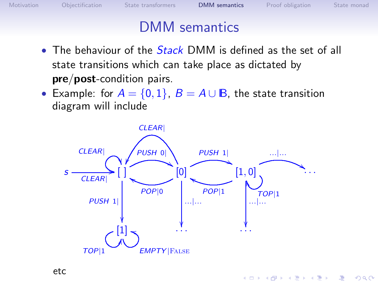$\mathbf{1}_{\{1,2\},\{1,3\},\{1,4\},\{1,5\},\{1,6\},\{1,7\},\{1,8\},\{1,9\},\{1,1,1\},\{1,1,1\},\{1,1,1\},\{1,1,1\},\{1,1,1\},\{1,1,1\},\{1,1,1\},\{1,1,1\},\{1,1,1\},\{1,1,1\},\{1,1,1\},\{1,1,1\},\{1,1,1\},\{1,1,1\},\{1,1,1\},\{1,1,1\},\{1,1,1\},\{1,1$ 

 $2990$ 

#### DMM semantics

- $\bullet$  The behaviour of the  $Stack$  DMM is defined as the set of all state transitions which can take place as dictated by pre/post-condition pairs.
- Example: for  $A = \{0, 1\}$ ,  $B = A \cup B$ , the state transition diagram will include

<span id="page-16-0"></span>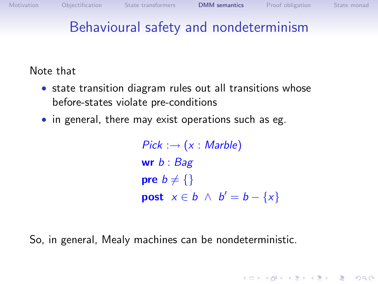**ADD 4 REPAIR AND A COA** 

# Behavioural safety and nondeterminism

Note that

- state transition diagram rules out all transitions whose before-states violate pre-conditions
- in general, there may exist operations such as eg.

 $Pick: \rightarrow (x: Mark)$ wr  $b :$  Bag **pre**  $b \neq \{\}$ **post**  $x \in b \land b' = b - \{x\}$ 

So, in general, Mealy machines can be nondeterministic.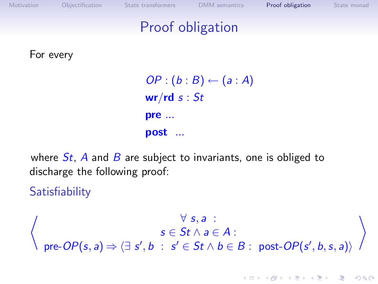| Motivation | Objectification | State transformers                                                | <b>DMM</b> semantics        | Proof obligation | State monad |
|------------|-----------------|-------------------------------------------------------------------|-----------------------------|------------------|-------------|
|            |                 |                                                                   | <b>Proof obligation</b>     |                  |             |
|            | For every       |                                                                   |                             |                  |             |
|            |                 | wr/rd s : St                                                      | $OP:(b:B) \leftarrow (a:A)$ |                  |             |
|            |                 | pre<br>post                                                       |                             |                  |             |
|            |                 | where $St$ , A and B are subject to invariants, one is obliged to |                             |                  |             |

discharge the following proof:

**Satisfiability** 

<span id="page-18-0"></span> $\forall s, a$  :  $s \in St \wedge a \in A$  :  $pre-OP(s, a) \Rightarrow \langle \exists s', b : s' \in St \land b \in B : post-OP(s', b, s, a) \rangle$  $\setminus$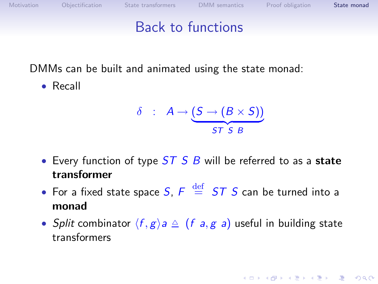**ADD 4 REPAIR AND A COA** 

#### Back to functions

DMMs can be built and animated using the state monad:

• Recall

$$
\delta \ : \ A \to \underbrace{(S \to (B \times S))}_{ST \ S \ B}
$$

- Every function of type  $ST S B$  will be referred to as a state transformer
- For a fixed state space  $S$ ,  $F \stackrel{\text{def}}{=} ST \; S$  can be turned into a monad
- <span id="page-19-0"></span>• Split combinator  $\langle f, g \rangle a \triangleq (f a, g a)$  useful in building state transformers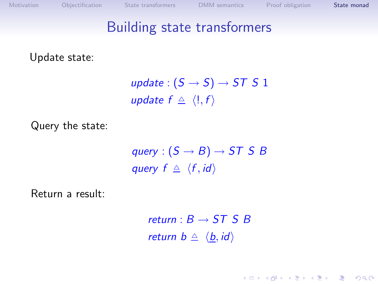**ADD 4 REPAIR AND A COA** 

#### Building state transformers

#### Update state:

update :  $(S \rightarrow S) \rightarrow ST S 1$ update  $f \triangleq \langle \cdot, f \rangle$ 

Query the state:

query :  $(S \rightarrow B) \rightarrow ST S B$ query  $f \triangleq \langle f, id \rangle$ 

Return a result:

return  $: B \rightarrow ST \times B$ return  $b \triangleq \langle b, id \rangle$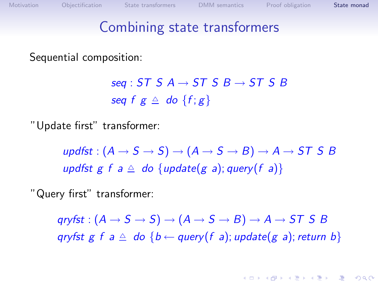#### Combining state transformers

Sequential composition:

seq : ST S A  $\rightarrow$  ST S B  $\rightarrow$  ST S B seq f  $g \triangleq$  do  $\{f; g\}$ 

"Update first" transformer:

updfst :  $(A \rightarrow S \rightarrow S) \rightarrow (A \rightarrow S \rightarrow B) \rightarrow A \rightarrow ST S B$ updfst g f a  $\triangle$  do {update(g a); query(f a)}

"Query first" transformer:

 $aryfst: (A \rightarrow S \rightarrow S) \rightarrow (A \rightarrow S \rightarrow B) \rightarrow A \rightarrow ST S B$ qryfst g f a  $\triangle$  do {b  $\leftarrow$  query(f a); update(g a); return b}

**YO A REAGE YOU ARE A REAGE YOU**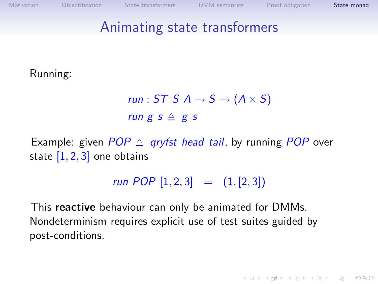**YO A REAR OF YOUR** 

# Animating state transformers

Running:

$$
run: ST \, S \, A \rightarrow S \rightarrow (A \times S)
$$
\n
$$
run \, g \, s \triangleq g \, s
$$

Example: given  $POP \triangle$  gryfst head tail, by running POP over state  $[1, 2, 3]$  one obtains

$$
run \; POP \; [1,2,3] \quad = \quad (1, [2,3])
$$

This reactive behaviour can only be animated for DMMs. Nondeterminism requires explicit use of test suites guided by post-conditions.